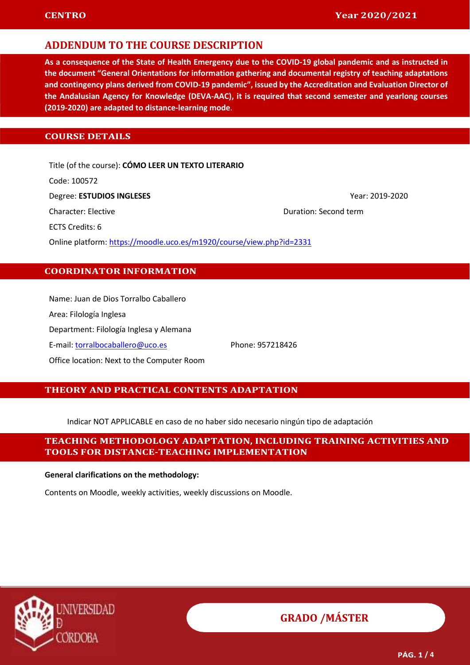As a consequence of the State of Health Emergency due to the COVID-19 global pandemic and as instructed in the document "General Orientations for information gathering and documental registry of teaching adaptations and contingency plans derived from COVID-19 pandemic", issued by the Accreditation and Evaluation Director of the Andalusian Agency for Knowledge (DEVA-AAC), it is required that second semester and yearlong courses (2019-2020) are adapted to distance-learning mode.

### **COURSE DETAILS**

Title (of the course): CÓMO LEER UN TEXTO LITERARIO Code: 100572 Degree: **ESTUDIOS INGLESES** Year: 2019-2020 Character: Elective Duration: Second term ECTS Credits: 6 Online platform: https://moodle.uco.es/m1920/course/view.php?id=2331

### COORDINATOR INFORMATION

Name: Juan de Dios Torralbo Caballero Area: Filología Inglesa Department: Filología Inglesa y Alemana E-mail: torralbocaballero@uco.es Phone: 957218426 Office location: Next to the Computer Room

#### THEORY AND PRACTICAL CONTENTS ADAPTATION

Indicar NOT APPLICABLE en caso de no haber sido necesario ningún tipo de adaptación

### TEACHING METHODOLOGY ADAPTATION, INCLUDING TRAINING ACTIVITIES AND TOOLS FOR DISTANCE-TEACHING IMPLEMENTATION

#### General clarifications on the methodology:

Contents on Moodle, weekly activities, weekly discussions on Moodle.

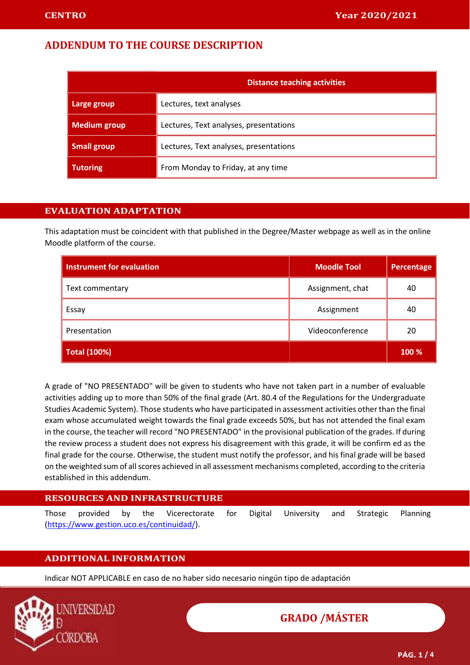|                     | <b>Distance teaching activities</b>    |  |  |  |  |  |
|---------------------|----------------------------------------|--|--|--|--|--|
| Large group         | Lectures, text analyses                |  |  |  |  |  |
| <b>Medium group</b> | Lectures, Text analyses, presentations |  |  |  |  |  |
| <b>Small group</b>  | Lectures, Text analyses, presentations |  |  |  |  |  |
| Tutoring            | From Monday to Friday, at any time     |  |  |  |  |  |

### EVALUATION ADAPTATION

This adaptation must be coincident with that published in the Degree/Master webpage as well as in the online Moodle platform of the course.

| <b>Instrument for evaluation</b> | <b>Moodle Tool</b> | Percentage |
|----------------------------------|--------------------|------------|
| Text commentary                  | Assignment, chat   | 40         |
| Essay                            | Assignment         | 40         |
| Presentation                     | Videoconference    | 20         |
| <b>Total (100%)</b>              |                    | 100 %      |

A grade of "NO PRESENTADO" will be given to students who have not taken part in a number of evaluable activities adding up to more than 50% of the final grade (Art. 80.4 of the Regulations for the Undergraduate Studies Academic System). Those students who have participated in assessment activities other than the final exam whose accumulated weight towards the final grade exceeds 50%, but has not attended the final exam in the course, the teacher will record "NO PRESENTADO" in the provisional publication of the grades. If during the review process a student does not express his disagreement with this grade, it will be confirm ed as the final grade for the course. Otherwise, the student must notify the professor, and his final grade will be based on the weighted sum of all scores achieved in all assessment mechanisms completed, according to the criteria established in this addendum.

| <b>RESOURCES AND INFRASTRUCTURE</b>        |  |  |  |                                                                                   |  |  |  |  |  |  |  |  |
|--------------------------------------------|--|--|--|-----------------------------------------------------------------------------------|--|--|--|--|--|--|--|--|
|                                            |  |  |  | Those provided by the Vicerectorate for Digital University and Strategic Planning |  |  |  |  |  |  |  |  |
| (https://www.gestion.uco.es/continuidad/). |  |  |  |                                                                                   |  |  |  |  |  |  |  |  |

### ADDITIONAL INFORMATION

Indicar NOT APPLICABLE en caso de no haber sido necesario ningún tipo de adaptación

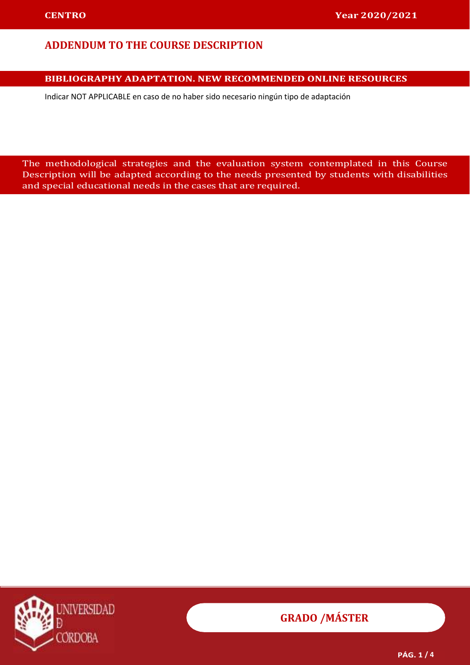### BIBLIOGRAPHY ADAPTATION. NEW RECOMMENDED ONLINE RESOURCES

Indicar NOT APPLICABLE en caso de no haber sido necesario ningún tipo de adaptación resources and the sources of the sources of the sources of the sources of the sources of the sources of the so

 The methodological strategies and the evaluation system contemplated in this Course Description will be adapted according to the needs presented by students with disabilities and special educational needs in the cases that are required.